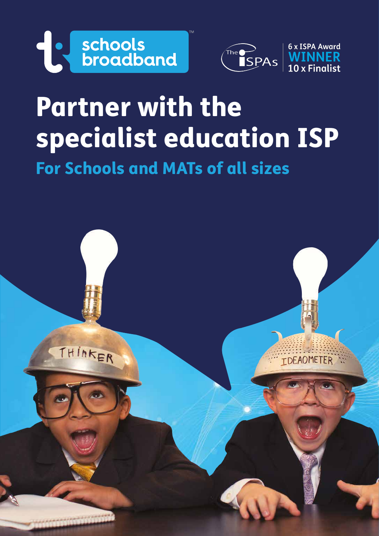



# Partner with the specialist education ISP For Schools and MATs of all sizes

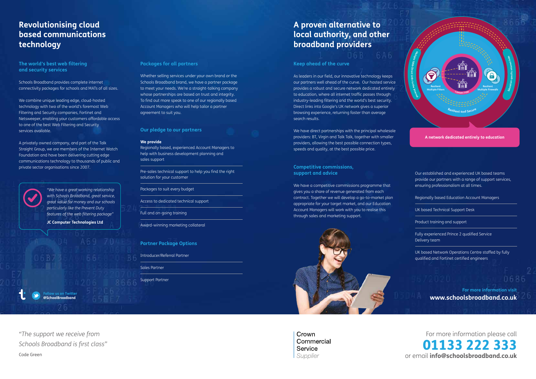## **Revolutionising cloud based communications technology**

**The world's best web filtering and security services**

Schools Broadband provides complete internet connectivity packages for schools and MATs of all sizes.

We combine unique leading edge, cloud-hosted technology with two of the world's foremost Web Filtering and Security companies, Fortinet and Netsweeper, enabling your customers affordable access to one of the best Web Filtering and Security services available.

A privately owned company, and part of the Talk Straight Group, we are members of the Internet Watch Foundation and have been delivering cutting edge communications technology to thousands of public and private sector organisations since 2007.

#### **Packages for all partners**

## **w** us on Twitter **@SchoolBroadband**

Whether selling services under your own brand or the Schools Broadband brand, we have a partner package to meet your needs. We're a straight-talking company whose partnerships are based on trust and integrity. To find out more speak to one of our regionally based Account Managers who will help tailor a partner agreement to suit you.

**Our pledge to our partners**

#### **We provide**

Regionally based, experienced Account Managers to help with business development planning and sales support

Pre-sales technical support to help you find the right solution for your customer

Packages to suit every budget

We have direct partnerships with the principal wholesale providers: BT, Virgin and Talk Talk, together with smaller providers, allowing the best possible connection types, speeds and quality, at the best possible price.

Access to dedicated technical support

Full and on-going training

Award-winning marketing collateral

#### **Partner Package Options**

Introducer/Referral Partner

Sales Partner

Support Partner

## For more information please call 01133 222 333 or email **info@schoolsbroadband.co.uk**

*"The support we receive from Schools Broadband is first class"* Code Green

*"We have a great working relationship with Schools Broadband, great service, great value for money and our schools particularly like the Prevent Duty features of the web filtering package"* **JC Computer Technologies Ltd**

## **A proven alternative to local authority, and other broadband providers**

### **Keep ahead of the curve**

As leaders in our field, our innovative technology keeps our partners well ahead of the curve. Our hosted service provides a robust and secure network dedicated entirely to education, where all internet traffic passes through industry-leading filtering and the world's best security. Direct links into Google's UK network gives a superior browsing experience, returning faster than average search results.

**Competitive commissions, support and advice**

We have a competitive commissions programme that gives you a share of revenue generated from each contract. Together we will develop a go-to-market plan appropriate for your target market, and our Education Account Managers will work with you to realise this through sales and marketing support.



Crown Commercial Service Supplier

Our established and experienced UK based teams provide our partners with a range of support services, ensuring professionalism at all times.

Regionally based Education Account Managers

UK based Technical Support Desk

Product training and support

Fully experienced Prince 2 qualified Service Delivery team

UK based Network Operations Centre staffed by fully qualified and Fortinet certified engineers



**For more information visit www.schoolsbroadband.co.uk**